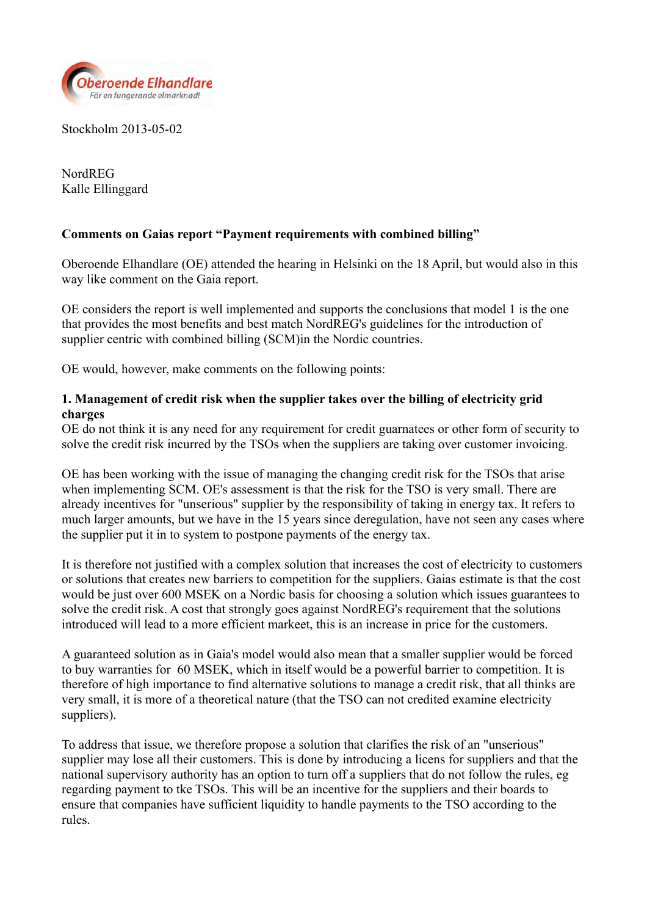

Stockholm 2013-05-02

NordREG Kalle Ellinggard

# **Comments on Gaias report "Payment requirements with combined billing"**

Oberoende Elhandlare (OE) attended the hearing in Helsinki on the 18 April, but would also in this way like comment on the Gaia report.

OE considers the report is well implemented and supports the conclusions that model 1 is the one that provides the most benefits and best match NordREG's guidelines for the introduction of supplier centric with combined billing (SCM)in the Nordic countries.

OE would, however, make comments on the following points:

## **1. Management of credit risk when the supplier takes over the billing of electricity grid charges**

OE do not think it is any need for any requirement for credit guarnatees or other form of security to solve the credit risk incurred by the TSOs when the suppliers are taking over customer invoicing.

OE has been working with the issue of managing the changing credit risk for the TSOs that arise when implementing SCM. OE's assessment is that the risk for the TSO is very small. There are already incentives for "unserious" supplier by the responsibility of taking in energy tax. It refers to much larger amounts, but we have in the 15 years since deregulation, have not seen any cases where the supplier put it in to system to postpone payments of the energy tax.

It is therefore not justified with a complex solution that increases the cost of electricity to customers or solutions that creates new barriers to competition for the suppliers. Gaias estimate is that the cost would be just over 600 MSEK on a Nordic basis for choosing a solution which issues guarantees to solve the credit risk. A cost that strongly goes against NordREG's requirement that the solutions introduced will lead to a more efficient markeet, this is an increase in price for the customers.

A guaranteed solution as in Gaia's model would also mean that a smaller supplier would be forced to buy warranties for 60 MSEK, which in itself would be a powerful barrier to competition. It is therefore of high importance to find alternative solutions to manage a credit risk, that all thinks are very small, it is more of a theoretical nature (that the TSO can not credited examine electricity suppliers).

To address that issue, we therefore propose a solution that clarifies the risk of an "unserious" supplier may lose all their customers. This is done by introducing a licens for suppliers and that the national supervisory authority has an option to turn off a suppliers that do not follow the rules, eg regarding payment to tke TSOs. This will be an incentive for the suppliers and their boards to ensure that companies have sufficient liquidity to handle payments to the TSO according to the rules.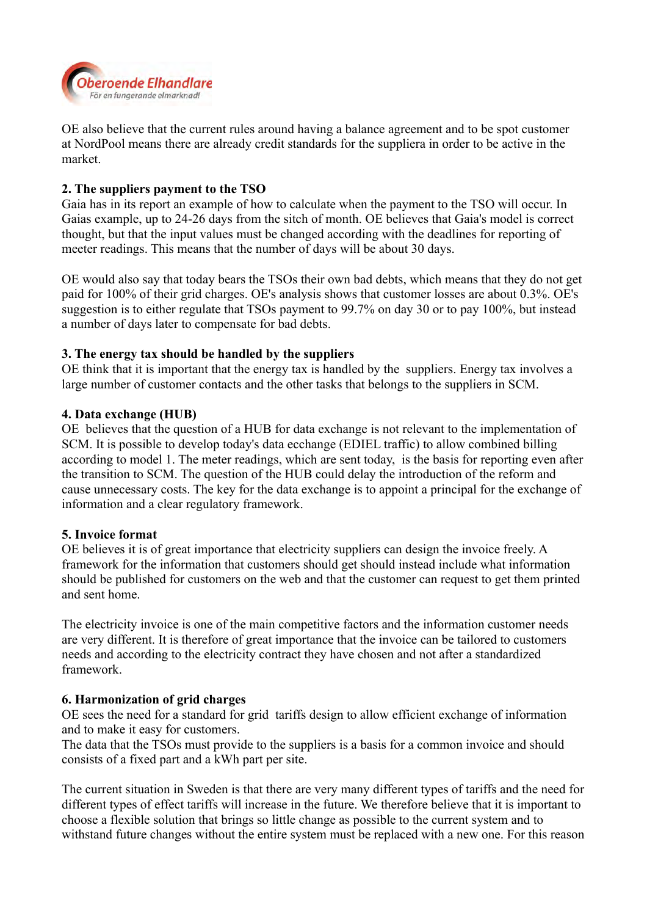

OE also believe that the current rules around having a balance agreement and to be spot customer at NordPool means there are already credit standards for the suppliera in order to be active in the market.

## **2. The suppliers payment to the TSO**

Gaia has in its report an example of how to calculate when the payment to the TSO will occur. In Gaias example, up to 24-26 days from the sitch of month. OE believes that Gaia's model is correct thought, but that the input values must be changed according with the deadlines for reporting of meeter readings. This means that the number of days will be about 30 days.

OE would also say that today bears the TSOs their own bad debts, which means that they do not get paid for 100% of their grid charges. OE's analysis shows that customer losses are about 0.3%. OE's suggestion is to either regulate that TSOs payment to 99.7% on day 30 or to pay 100%, but instead a number of days later to compensate for bad debts.

## **3. The energy tax should be handled by the suppliers**

OE think that it is important that the energy tax is handled by the suppliers. Energy tax involves a large number of customer contacts and the other tasks that belongs to the suppliers in SCM.

#### **4. Data exchange (HUB)**

OE believes that the question of a HUB for data exchange is not relevant to the implementation of SCM. It is possible to develop today's data ecchange (EDIEL traffic) to allow combined billing according to model 1. The meter readings, which are sent today, is the basis for reporting even after the transition to SCM. The question of the HUB could delay the introduction of the reform and cause unnecessary costs. The key for the data exchange is to appoint a principal for the exchange of information and a clear regulatory framework.

#### **5. Invoice format**

OE believes it is of great importance that electricity suppliers can design the invoice freely. A framework for the information that customers should get should instead include what information should be published for customers on the web and that the customer can request to get them printed and sent home.

The electricity invoice is one of the main competitive factors and the information customer needs are very different. It is therefore of great importance that the invoice can be tailored to customers needs and according to the electricity contract they have chosen and not after a standardized framework.

#### **6. Harmonization of grid charges**

OE sees the need for a standard for grid tariffs design to allow efficient exchange of information and to make it easy for customers.

The data that the TSOs must provide to the suppliers is a basis for a common invoice and should consists of a fixed part and a kWh part per site.

The current situation in Sweden is that there are very many different types of tariffs and the need for different types of effect tariffs will increase in the future. We therefore believe that it is important to choose a flexible solution that brings so little change as possible to the current system and to withstand future changes without the entire system must be replaced with a new one. For this reason